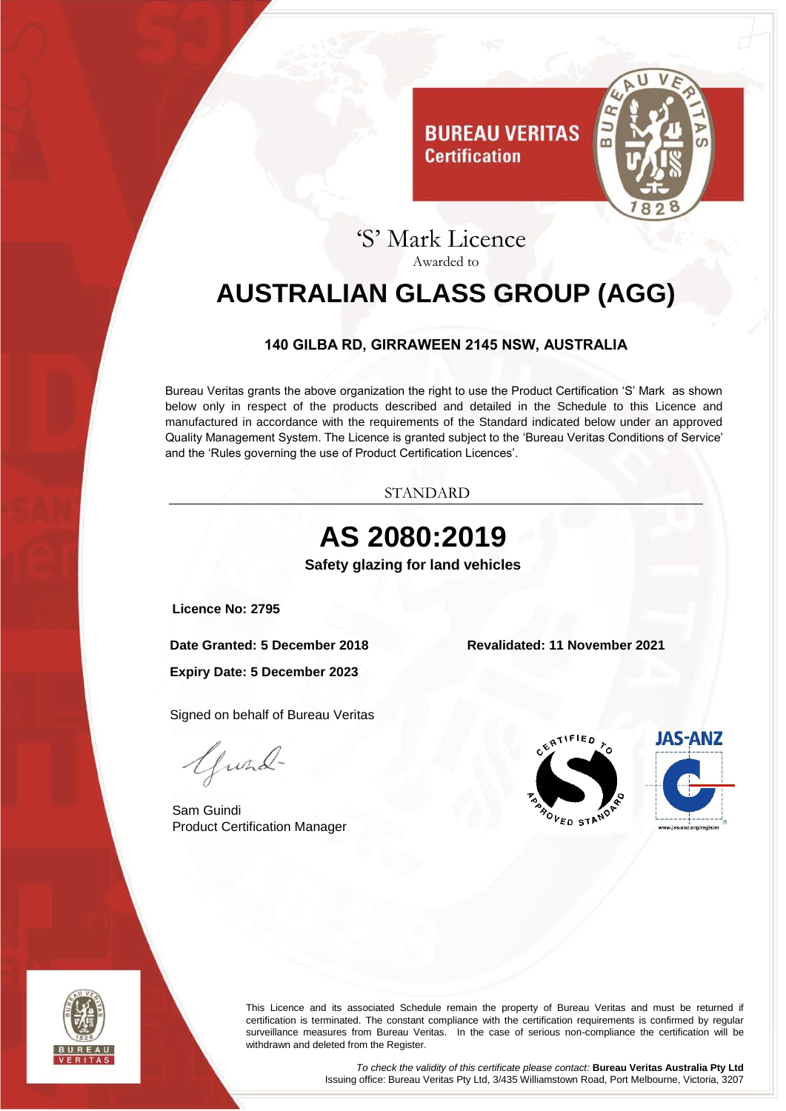

# 'S' Mark Licence Awarded to

**Certification** 

# <span id="page-0-0"></span>**AUSTRALIAN GLASS GROUP (AGG)**

#### **140 GILBA RD, GIRRAWEEN 2145 NSW, AUSTRALIA**

<span id="page-0-1"></span>Bureau Veritas grants the above organization the right to use the Product Certification 'S' Mark as shown below only in respect of the products described and detailed in the Schedule to this Licence and manufactured in accordance with the requirements of the Standard indicated below under an approved Quality Management System. The Licence is granted subject to the 'Bureau Veritas Conditions of Service' and the 'Rules governing the use of Product Certification Licences'.

STANDARD

<span id="page-0-3"></span><span id="page-0-2"></span>



This Licence and its associated Schedule remain the property of Bureau Veritas and must be returned if certification is terminated. The constant compliance with the certification requirements is confirmed by regular surveillance measures from Bureau Veritas. In the case of serious non-compliance the certification will be withdrawn and deleted from the Register.

> *To check the validity of this certificate please contact:* **Bureau Veritas Australia Pty Ltd** Issuing office: Bureau Veritas Pty Ltd, 3/435 Williamstown Road, Port Melbourne, Victoria, 3207